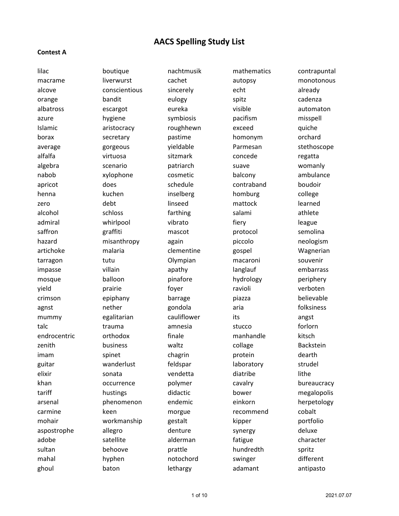#### **Contest A**

lilac boutique nachtmusik mathematics contrapuntal macrame liverwurst cachet autopsy monotonous alcove conscientious sincerely echt echt already orange bandit eulogy spitz cadenza albatross escargot eureka visible automaton azure hygiene symbiosis pacifism misspell Islamic aristocracy roughhewn exceed quiche borax secretary pastime homonym orchard average and gorgeous wieldable Parmesan stethoscope alfalfa virtuosa sitzmark concede regatta algebra scenario patriarch suave womanly nabob xylophone cosmetic balcony ambulance apricot does contraband boudoir henna inselberg homburg college homburg college zero debt linseed mattock learned alcohol schloss farthing salami athlete admiral whirlpool vibrato fiery fiery league saffron graffiti mascot protocol semolina hazard misanthropy again piccolo neologism artichoke malaria clementine gospel Wagnerian tarragon tutu Olympian macaroni souvenir impasse villain apathy and langlauf embarrass impasse mosque balloon pinafore hydrology periphery yield **prairie come of the set of the contract of the contract of the contract of the contract of the contract o** crimson epiphany barrage piazza believable agnst 1988 mether and gondola aria aria diksiness mummy egalitarian cauliflower its angst talc trauma amnesia stucco forlorn endrocentric orthodox finale manhandle kitsch zenith business waltz collage Backstein imam spinet chagrin protein dearth guitar **menuta menyebat anak tahun seorat yang termasa di sebanja yang dengan ke seorat di seorat di senar strudel** elixir sonata vendetta diatribe lithe khan occurrence polymer cavalry bureaucracy tariff hustings didactic bower megalopolis arsenal phenomenon endemic einkorn herpetology carmine keen horgue recommend cobalt mohair workmanship gestalt kipper portfolio aspostrophe allegro denture synergy deluxe adobe satellite alderman fatigue character sultan behoove prattle hundredth spritz mahal hyphen notochord swinger different ghoul baton lethargy adamant antipasto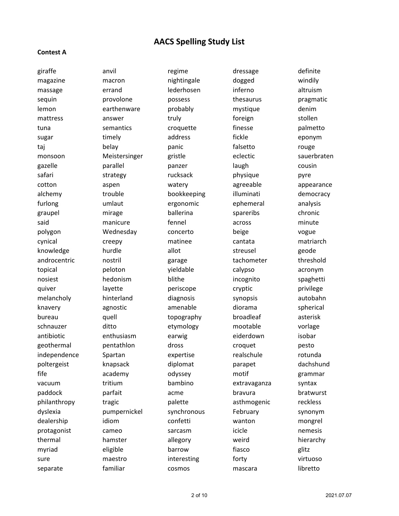#### **Contest A**

giraffe anvil anvil regime dressage definite magazine macron mightingale dogged windily massage errand lederhosen inferno altruism sequin **provolone** possess thesaurus pragmatic lemon earthenware probably mystique denim mattress answer truly truly foreign stollen tuna semantics croquette finesse palmetto sugar https://www.finely.com/modules/somal/diress/modules/somal/fickle/modules/somal/modules/somal/m taj belay panic falsetto rouge monsoon Meistersinger gristle eclectic sauerbraten gazelle parallel panzer laugh cousin safari strategy rucksack physique pyre cotton aspen watery agreeable appearance alchemy trouble bookkeeping illuminati democracy furlong umlaut ergonomic ephemeral analysis graupel mirage ballerina spareribs chronic said manicure fennel across minute polygon Wednesday concerto beige vogue cynical creepy matinee cantata matriarch knowledge hurdle allot streusel geode androcentric mostril androcentric nostril androcentric threshold topical peloton yieldable calypso acronym nosiest in the hedonism blithe incognito spaghetti quiver and layette and periscope cryptic privilege melancholy hinterland diagnosis synopsis autobahn knavery agnostic amenable diorama spherical bureau quell topography broadleaf asterisk schnauzer ditto etymology mootable vorlage antibiotic enthusiasm earwig eiderdown isobar geothermal pentathlon dross croquet pesto independence Spartan expertise realschule rotunda poltergeist knapsack diplomat parapet dachshund fife academy odyssey motif grammar vacuum tritium bambino extravaganza syntax paddock parfait acme bravura bratwurst philanthropy tragic palette asthmogenic reckless dyslexia pumpernickel synchronous February synonym dealership idiom confetti wanton mongrel protagonist cameo sarcasm icicle nemesis thermal hamster allegory weird hierarchy myriad eligible barrow fiasco glitz sure interesting forty virtuosome material interesting forty

separate familiar cosmos mascara libretto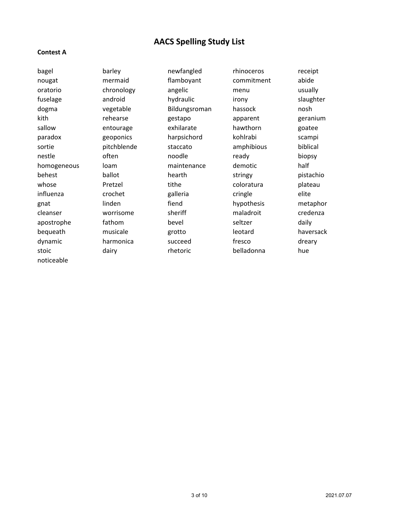#### **Contest A**

nougat mermaid flamboyant commitment abide oratorio chronology angelic menu usually fuselage android hydraulic irony slaughter dogma vegetable Bildungsroman hassock nosh kith rehearse gestapo apparent geranium sallow **entourage exhilarate** hawthorn goatee paradox geoponics harpsichord kohlrabi scampi sortie **pitchblende** staccato amphibious biblical nestle often on noodle ready biopsy homogeneous loam maintenance demotic half behest ballot hearth stringy pistachio whose **Pretzel** enterthe coloratura plateau influenza crochet galleria cringle elite gnat linden fiend hypothesis metaphor cleanser man worrisome sheriff maladroit credenza apostrophe fathom bevel seltzer daily bequeath musicale grotto leotard haversack dynamic harmonica succeed fresco dreary stoic dairy cheesing the dairy belladonna hue noticeable

bagel barley newfangled rhinoceros receipt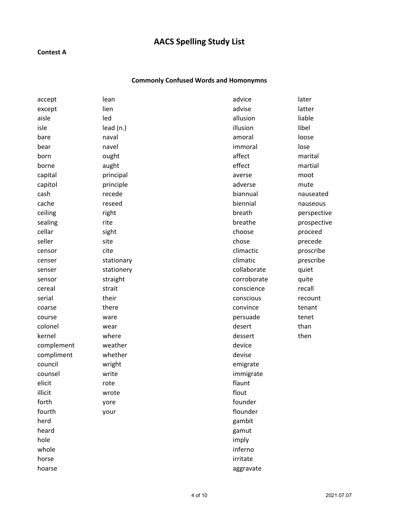### **Contest A**

### **Commonly Confused Words and Homonymns**

| accept     | lean       | advice      | later       |
|------------|------------|-------------|-------------|
| except     | lien       | advise      | latter      |
| aisle      | led        | allusion    | liable      |
| isle       | lead (n.)  | illusion    | libel       |
| bare       | naval      | amoral      | loose       |
| bear       | navel      | immoral     | lose        |
| born       | ought      | affect      | marital     |
| borne      | aught      | effect      | martial     |
| capital    | principal  | averse      | moot        |
| capitol    | principle  | adverse     | mute        |
| cash       | recede     | biannual    | nauseated   |
| cache      | reseed     | biennial    | nauseous    |
| ceiling    | right      | breath      | perspective |
| sealing    | rite       | breathe     | prospective |
| cellar     | sight      | choose      | proceed     |
| seller     | site       | chose       | precede     |
| censor     | cite       | climactic   | proscribe   |
| censer     | stationary | climatic    | prescribe   |
| senser     | stationery | collaborate | quiet       |
| sensor     | straight   | corroborate | quite       |
| cereal     | strait     | conscience  | recall      |
| serial     | their      | conscious   | recount     |
| coarse     | there      | convince    | tenant      |
| course     | ware       | persuade    | tenet       |
| colonel    | wear       | desert      | than        |
| kernel     | where      | dessert     | then        |
| complement | weather    | device      |             |
| compliment | whether    | devise      |             |
| council    | wright     | emigrate    |             |
| counsel    | write      | immigrate   |             |
| elicit     | rote       | flaunt      |             |
| illicit    | wrote      | flout       |             |
| forth      | yore       | founder     |             |
| fourth     | your       | flounder    |             |
| herd       |            | gambit      |             |
| heard      |            | gamut       |             |
| hole       |            | imply       |             |
| whole      |            | inferno     |             |
| horse      |            | irritate    |             |
| hoarse     |            | aggravate   |             |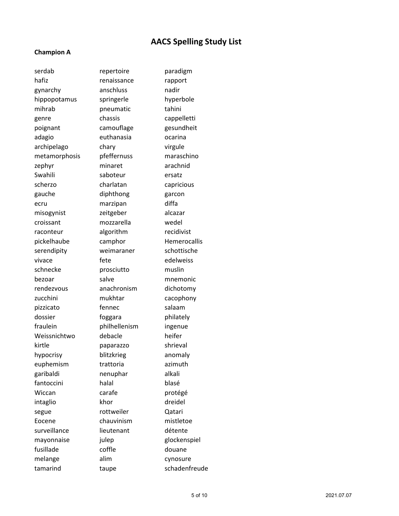#### **Champion A**

hafiz renaissance rapport gynarchy anschluss nadir hippopotamus springerle hyperbole mihrab pneumatic tahini genre chassis cappelletti poignant camouflage gesundheit adagio euthanasia ocarina archipelago chary virgule metamorphosis pfeffernuss maraschino zephyr minaret arachnid Swahili saboteur ersatz scherzo charlatan capricious gauche diphthong garcon ecru marzipan diffa misogynist zeitgeber alcazar croissant mozzarella wedel raconteur algorithm recidivist pickelhaube camphor Hemerocallis serendipity weimaraner schottische vivace fete edelweiss schnecke prosciutto muslin bezoar salve mnemonic rendezvous anachronism dichotomy zucchini mukhtar cacophony pizzicato fennec salaam dossier **foggara** philately fraulein philhellenism ingenue Weissnichtwo debacle heifer kirtle paparazzo shrieval hypocrisy blitzkrieg anomaly euphemism trattoria azimuth garibaldi nenuphar alkali fantoccini halal blasé Wiccan carafe protégé intaglio khor khor dreidel segue **rottweiler** Qatari Eocene chauvinism mistletoe surveillance lieutenant détente mayonnaise iulep glockenspiel fusillade coffle douane melange alim cynosure tamarind taupe schadenfreude

serdab repertoire paradigm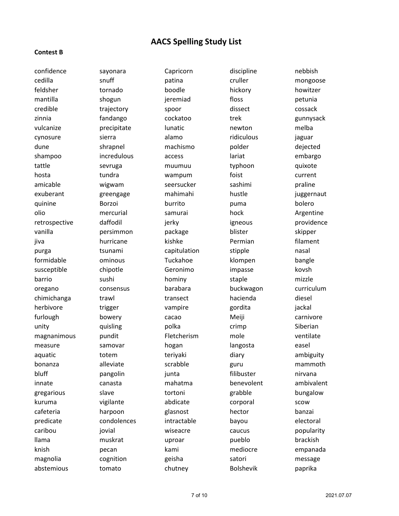#### **Contest B**

cedilla snuff patina cruller mongoose feldsher tornado boodle hickory howitzer mantilla shogun jeremiad floss petunia credible trajectory spoor dissect cossack zinnia fandango cockatoo trek gunnysack vulcanize **precipitate** lunatic newton melba cynosure sierra alamo ridiculous jaguar dune machismo polder dejected machismo bolder dejected shampoo incredulous access lariat embargo tattle sevruga muumuu typhoon quixote hosta tundra wampum foist current amicable wigwam seersucker sashimi praline exuberant ereengage mahimahi hustle iuggernaut quinine and Borzoi burrito burrito puma bolero olio mercurial samurai hock Argentine retrospective daffodil ignes igneous providence vanilla persimmon package blister skipper jiva 1988 hurricane kishke Rermian filament purga **tsunami** capitulation stipple nasal formidable ominous Tuckahoe klompen bangle susceptible chipotle Geronimo impasse kovsh barrio sushi hominy staple mizzle oregano consensus barabara buckwagon curriculum chimichanga trawl transect hacienda diesel herbivore trigger vampire gordita jackal furlough bowery cacao Meiji carnivore unity **polka** crimp Siberian quisling polka crimp magnanimous pundit Fletcherism mole ventilate measure samovar hogan langosta easel aquatic **totem** teriyaki diary diary ambiguity bonanza alleviate scrabble guru mammoth bluff **pangolin** pangolin bluff **nitriche has bluff** hirvana innate canasta mahatma benevolent ambivalent gregarious slave tortoni grabble bungalow kuruma vigilante abdicate corporal scow cafeteria harpoon glasnost hector banzai predicate condolences intractable bayou electoral caribou jovial wiseacre caucus popularity llama muskrat uproar pueblo brackish knish pecan kami mediocre empanada magnolia cognition geisha satori message

confidence sayonara Capricorn discipline nebbish

abstemious tomato chutney Bolshevik paprika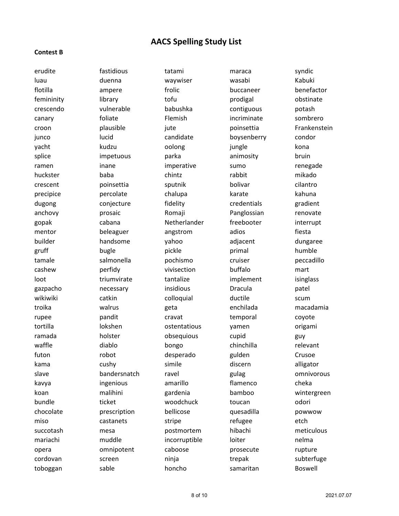#### **Contest B**

erudite fastidious tatami maraca syndic luau duenna waywiser wasabi Kabuki flotilla **ampere** frolic buccaneer benefactor benefactor femininity library tofu https://www.femininity bostinate crescendo vulnerable babushka contiguous potash canary foliate Flemish incriminate sombrero croon **plausible** pute poinsettia Frankenstein junco lucid candidate boysenberry condor yacht kudzu oolong jungle kona splice impetuous parka animosity bruin ramen inane imperative sumo renegade huckster baba chintz rabbit mikado crescent poinsettia sputnik bolivar cilantro precipice **percolate** chalupa karate kahuna dugong conjecture fidelity credentials gradient anchovy **prosaic** Romaji Panglossian renovate gopak cabana Netherlander freebooter interrupt mentor beleaguer angstrom adios fiesta builder handsome yahoo adjacent dungaree gruff **bugle** bugle pickle primal **humble** tamale salmonella pochismo cruiser peccadillo cashew perfidy vivisection buffalo mart loot http://www.friumvirate tantalize tantalize implement isinglass gazpacho **necessary** insidious Dracula patel wikiwiki catkin colloquial ductile scum troika walrus geta enchilada macadamia rupee **pandit** cravat cravat temporal coyote tortilla lokshen ostentatious yamen origami ramada holster bolster obsequious cupid guy waffle diablo bongo chinchilla relevant futon robot desperado gulden Crusoe kama cushy simile discern alligator slave bandersnatch ravel gulag omnivorous kavya ingenious amarillo flamenco cheka koan malihini gardenia bamboo wintergreen bundle **ticket** ticket woodchuck toucan odori chocolate prescription bellicose quesadilla powwow miso and castanets castanets by tripe and refugee that etch succotash mesa postmortem hibachi meticulous mariachi muddle incorruptible loiter nelma opera omnipotent caboose prosecute rupture cordovan screen ninja trepak subterfuge

toboggan sable honcho samaritan Boswell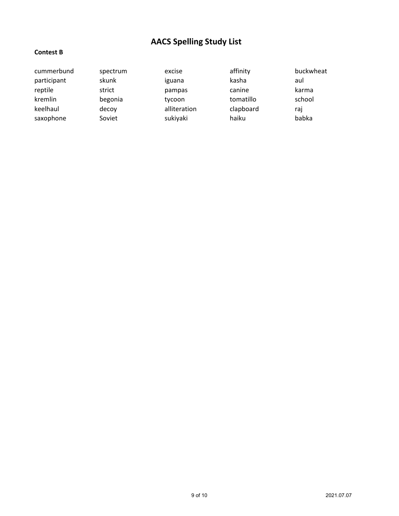### **Contest B**

| cummerbund  | spectrum | excise       | affinity  | buckwheat |
|-------------|----------|--------------|-----------|-----------|
| participant | skunk    | iguana       | kasha     | aul       |
| reptile     | strict   | pampas       | canine    | karma     |
| kremlin     | begonia  | tycoon       | tomatillo | school    |
| keelhaul    | decoy    | alliteration | clapboard | raj       |
| saxophone   | Soviet   | sukiyaki     | haiku     | babka     |
|             |          |              |           |           |